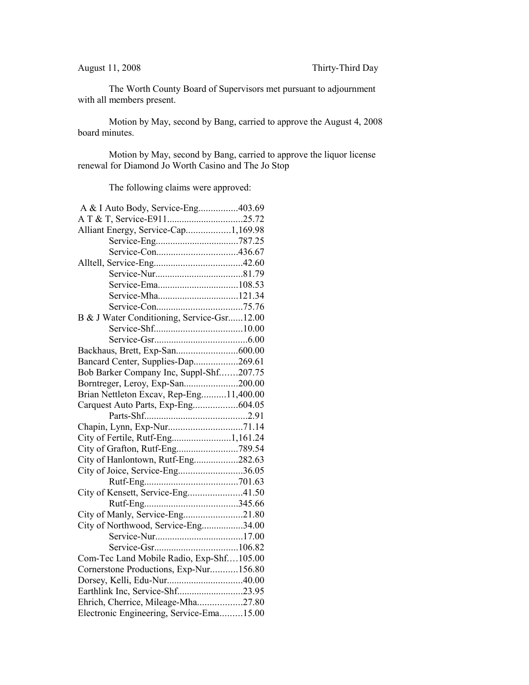The Worth County Board of Supervisors met pursuant to adjournment with all members present.

Motion by May, second by Bang, carried to approve the August 4, 2008 board minutes.

Motion by May, second by Bang, carried to approve the liquor license renewal for Diamond Jo Worth Casino and The Jo Stop

The following claims were approved:

| A & I Auto Body, Service-Eng403.69         |  |
|--------------------------------------------|--|
|                                            |  |
| Alliant Energy, Service-Cap1,169.98        |  |
|                                            |  |
|                                            |  |
|                                            |  |
|                                            |  |
|                                            |  |
| Service-Mha121.34                          |  |
|                                            |  |
| B & J Water Conditioning, Service-Gsr12.00 |  |
|                                            |  |
|                                            |  |
|                                            |  |
| Bancard Center, Supplies-Dap269.61         |  |
| Bob Barker Company Inc, Suppl-Shf207.75    |  |
| Borntreger, Leroy, Exp-San200.00           |  |
| Brian Nettleton Excav, Rep-Eng11,400.00    |  |
| Carquest Auto Parts, Exp-Eng604.05         |  |
|                                            |  |
|                                            |  |
| City of Fertile, Rutf-Eng1,161.24          |  |
|                                            |  |
| City of Hanlontown, Rutf-Eng282.63         |  |
| City of Joice, Service-Eng36.05            |  |
|                                            |  |
| City of Kensett, Service-Eng41.50          |  |
|                                            |  |
| City of Manly, Service-Eng21.80            |  |
| City of Northwood, Service-Eng34.00        |  |
|                                            |  |
|                                            |  |
| Com-Tec Land Mobile Radio, Exp-Shf105.00   |  |
| Cornerstone Productions, Exp-Nur156.80     |  |
| Dorsey, Kelli, Edu-Nur40.00                |  |
| Earthlink Inc, Service-Shf23.95            |  |
| Ehrich, Cherrice, Mileage-Mha27.80         |  |
| Electronic Engineering, Service-Ema15.00   |  |
|                                            |  |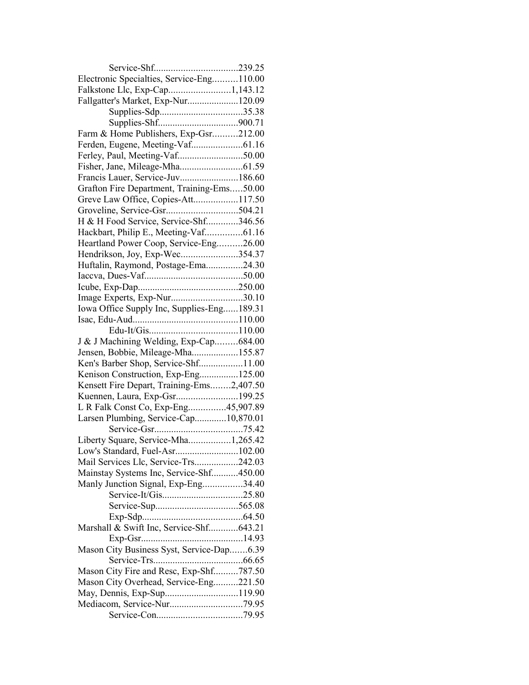| Electronic Specialties, Service-Eng110.00  |  |
|--------------------------------------------|--|
| Falkstone Llc, Exp-Cap1,143.12             |  |
| Fallgatter's Market, Exp-Nur120.09         |  |
|                                            |  |
|                                            |  |
| Farm & Home Publishers, Exp-Gsr212.00      |  |
| Ferden, Eugene, Meeting-Vaf61.16           |  |
| Ferley, Paul, Meeting-Vaf50.00             |  |
|                                            |  |
| Francis Lauer, Service-Juv186.60           |  |
| Grafton Fire Department, Training-Ems50.00 |  |
| Greve Law Office, Copies-Att117.50         |  |
|                                            |  |
| H & H Food Service, Service-Shf346.56      |  |
| Hackbart, Philip E., Meeting-Vaf61.16      |  |
| Heartland Power Coop, Service-Eng26.00     |  |
| Hendrikson, Joy, Exp-Wec354.37             |  |
| Huftalin, Raymond, Postage-Ema24.30        |  |
|                                            |  |
|                                            |  |
| Image Experts, Exp-Nur30.10                |  |
|                                            |  |
| Iowa Office Supply Inc, Supplies-Eng189.31 |  |
|                                            |  |
|                                            |  |
| J & J Machining Welding, Exp-Cap684.00     |  |
| Jensen, Bobbie, Mileage-Mha155.87          |  |
| Ken's Barber Shop, Service-Shf11.00        |  |
| Kenison Construction, Exp-Eng125.00        |  |
| Kensett Fire Depart, Training-Ems2,407.50  |  |
| Kuennen, Laura, Exp-Gsr199.25              |  |
| L R Falk Const Co, Exp-Eng45,907.89        |  |
| Larsen Plumbing, Service-Cap10,870.01      |  |
|                                            |  |
| Liberty Square, Service-Mha1,265.42        |  |
| Low's Standard, Fuel-Asr102.00             |  |
| Mail Services Llc, Service-Trs242.03       |  |
| Mainstay Systems Inc, Service-Shf450.00    |  |
| Manly Junction Signal, Exp-Eng34.40        |  |
|                                            |  |
|                                            |  |
|                                            |  |
| Marshall & Swift Inc, Service-Shf643.21    |  |
|                                            |  |
| Mason City Business Syst, Service-Dap6.39  |  |
|                                            |  |
| Mason City Fire and Resc, Exp-Shf787.50    |  |
| Mason City Overhead, Service-Eng221.50     |  |
|                                            |  |
|                                            |  |
|                                            |  |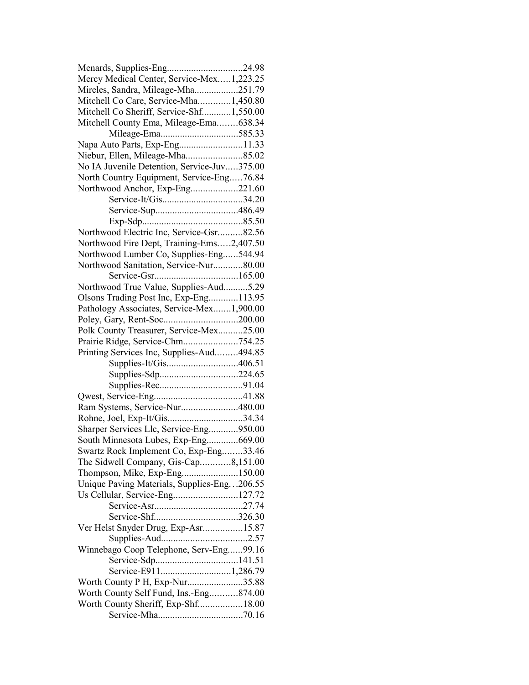| Menards, Supplies-Eng24.98                  |  |
|---------------------------------------------|--|
| Mercy Medical Center, Service-Mex1,223.25   |  |
| Mireles, Sandra, Mileage-Mha251.79          |  |
| Mitchell Co Care, Service-Mha1,450.80       |  |
| Mitchell Co Sheriff, Service-Shf1,550.00    |  |
| Mitchell County Ema, Mileage-Ema638.34      |  |
|                                             |  |
| Napa Auto Parts, Exp-Eng11.33               |  |
|                                             |  |
| No IA Juvenile Detention, Service-Juv375.00 |  |
| North Country Equipment, Service-Eng76.84   |  |
| Northwood Anchor, Exp-Eng221.60             |  |
|                                             |  |
|                                             |  |
|                                             |  |
| Northwood Electric Inc, Service-Gsr82.56    |  |
| Northwood Fire Dept, Training-Ems2,407.50   |  |
| Northwood Lumber Co, Supplies-Eng544.94     |  |
| Northwood Sanitation, Service-Nur80.00      |  |
|                                             |  |
| Northwood True Value, Supplies-Aud5.29      |  |
|                                             |  |
| Olsons Trading Post Inc, Exp-Eng113.95      |  |
| Pathology Associates, Service-Mex1,900.00   |  |
|                                             |  |
| Polk County Treasurer, Service-Mex25.00     |  |
| Prairie Ridge, Service-Chm754.25            |  |
| Printing Services Inc, Supplies-Aud494.85   |  |
| Supplies-It/Gis406.51                       |  |
|                                             |  |
|                                             |  |
|                                             |  |
| Ram Systems, Service-Nur480.00              |  |
|                                             |  |
| Sharper Services Llc, Service-Eng950.00     |  |
| South Minnesota Lubes, Exp-Eng669.00        |  |
| Swartz Rock Implement Co, Exp-Eng33.46      |  |
| The Sidwell Company, Gis-Cap8,151.00        |  |
| Thompson, Mike, Exp-Eng150.00               |  |
| Unique Paving Materials, Supplies-Eng206.55 |  |
| Us Cellular, Service-Eng127.72              |  |
|                                             |  |
|                                             |  |
| Ver Helst Snyder Drug, Exp-Asr15.87         |  |
|                                             |  |
| Winnebago Coop Telephone, Serv-Eng99.16     |  |
|                                             |  |
| Service-E9111,286.79                        |  |
| Worth County P H, Exp-Nur35.88              |  |
| Worth County Self Fund, Ins.-Eng874.00      |  |
| Worth County Sheriff, Exp-Shf18.00          |  |
|                                             |  |